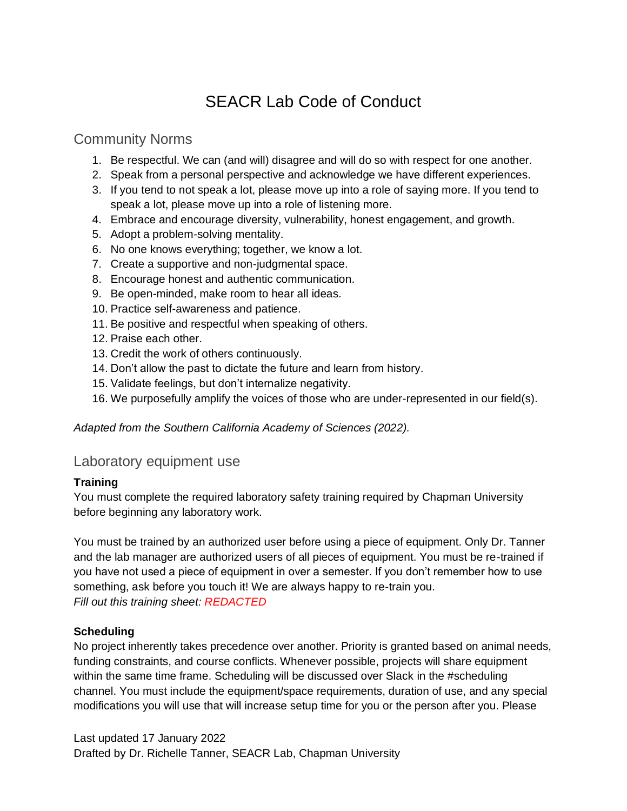# SEACR Lab Code of Conduct

### Community Norms

- 1. Be respectful. We can (and will) disagree and will do so with respect for one another.
- 2. Speak from a personal perspective and acknowledge we have different experiences.
- 3. If you tend to not speak a lot, please move up into a role of saying more. If you tend to speak a lot, please move up into a role of listening more.
- 4. Embrace and encourage diversity, vulnerability, honest engagement, and growth.
- 5. Adopt a problem-solving mentality.
- 6. No one knows everything; together, we know a lot.
- 7. Create a supportive and non-judgmental space.
- 8. Encourage honest and authentic communication.
- 9. Be open-minded, make room to hear all ideas.
- 10. Practice self-awareness and patience.
- 11. Be positive and respectful when speaking of others.
- 12. Praise each other.
- 13. Credit the work of others continuously.
- 14. Don't allow the past to dictate the future and learn from history.
- 15. Validate feelings, but don't internalize negativity.
- 16. We purposefully amplify the voices of those who are under-represented in our field(s).

*Adapted from the Southern California Academy of Sciences (2022).*

### Laboratory equipment use

#### **Training**

You must complete the required laboratory safety training required by Chapman University before beginning any laboratory work.

You must be trained by an authorized user before using a piece of equipment. Only Dr. Tanner and the lab manager are authorized users of all pieces of equipment. You must be re-trained if you have not used a piece of equipment in over a semester. If you don't remember how to use something, ask before you touch it! We are always happy to re-train you. *Fill out this training sheet: REDACTED*

#### **Scheduling**

No project inherently takes precedence over another. Priority is granted based on animal needs, funding constraints, and course conflicts. Whenever possible, projects will share equipment within the same time frame. Scheduling will be discussed over Slack in the #scheduling channel. You must include the equipment/space requirements, duration of use, and any special modifications you will use that will increase setup time for you or the person after you. Please

Last updated 17 January 2022 Drafted by Dr. Richelle Tanner, SEACR Lab, Chapman University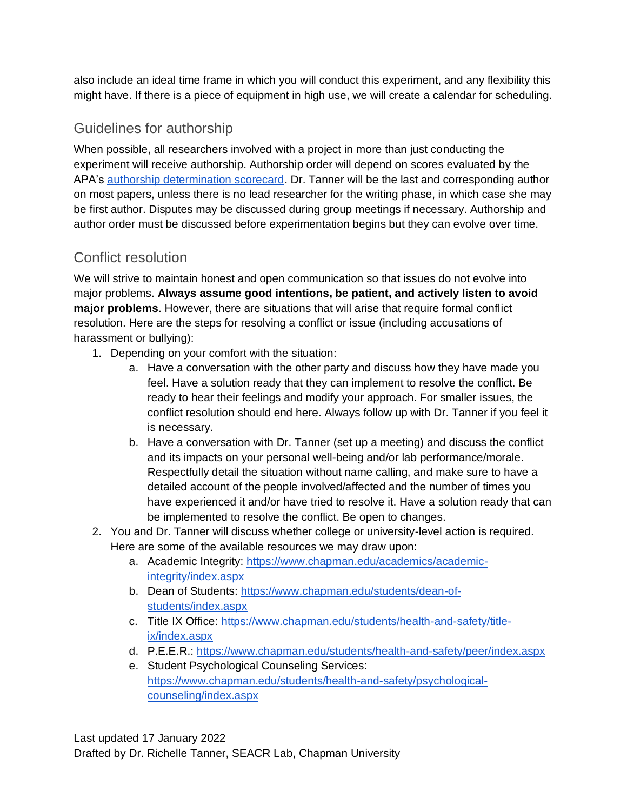also include an ideal time frame in which you will conduct this experiment, and any flexibility this might have. If there is a piece of equipment in high use, we will create a calendar for scheduling.

## Guidelines for authorship

When possible, all researchers involved with a project in more than just conducting the experiment will receive authorship. Authorship order will depend on scores evaluated by the APA's authorship determination scorecard. Dr. Tanner will be the last and corresponding author on most papers, unless there is no lead researcher for the writing phase, in which case she may be first author. Disputes may be discussed during group meetings if necessary. Authorship and author order must be discussed before experimentation begins but they can evolve over time.

# Conflict resolution

We will strive to maintain honest and open communication so that issues do not evolve into major problems. **Always assume good intentions, be patient, and actively listen to avoid major problems**. However, there are situations that will arise that require formal conflict resolution. Here are the steps for resolving a conflict or issue (including accusations of harassment or bullying):

- 1. Depending on your comfort with the situation:
	- a. Have a conversation with the other party and discuss how they have made you feel. Have a solution ready that they can implement to resolve the conflict. Be ready to hear their feelings and modify your approach. For smaller issues, the conflict resolution should end here. Always follow up with Dr. Tanner if you feel it is necessary.
	- b. Have a conversation with Dr. Tanner (set up a meeting) and discuss the conflict and its impacts on your personal well-being and/or lab performance/morale. Respectfully detail the situation without name calling, and make sure to have a detailed account of the people involved/affected and the number of times you have experienced it and/or have tried to resolve it. Have a solution ready that can be implemented to resolve the conflict. Be open to changes.
- 2. You and Dr. Tanner will discuss whether college or university-level action is required. Here are some of the available resources we may draw upon:
	- a. Academic Integrity: [https://www.chapman.edu/academics/academic](https://www.chapman.edu/academics/academic-integrity/index.aspx)[integrity/index.aspx](https://www.chapman.edu/academics/academic-integrity/index.aspx)
	- b. Dean of Students: [https://www.chapman.edu/students/dean-of](https://www.chapman.edu/students/dean-of-students/index.aspx)[students/index.aspx](https://www.chapman.edu/students/dean-of-students/index.aspx)
	- c. Title IX Office: [https://www.chapman.edu/students/health-and-safety/title](https://www.chapman.edu/students/health-and-safety/title-ix/index.aspx)[ix/index.aspx](https://www.chapman.edu/students/health-and-safety/title-ix/index.aspx)
	- d. P.E.E.R.:<https://www.chapman.edu/students/health-and-safety/peer/index.aspx>
	- e. Student Psychological Counseling Services: [https://www.chapman.edu/students/health-and-safety/psychological](https://www.chapman.edu/students/health-and-safety/psychological-counseling/index.aspx)[counseling/index.aspx](https://www.chapman.edu/students/health-and-safety/psychological-counseling/index.aspx)